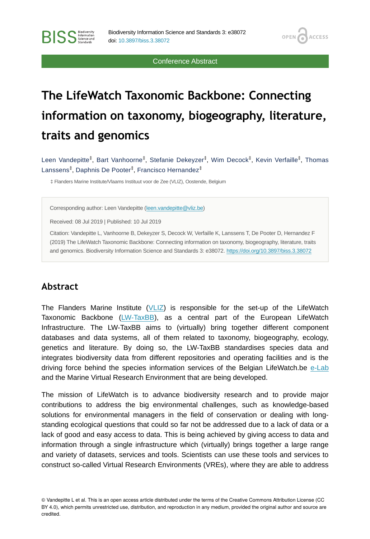Conference Abstract

**OPEN** 

**ACCESS** 

# **The LifeWatch Taxonomic Backbone: Connecting information on taxonomy, biogeography, literature, traits and genomics**

Leen Vandepitte $^\ddag,$  Bart Vanhoorne $^\ddag,$  Stefanie Dekeyzer $^\ddag,$  Wim Decock $^\ddag,$  Kevin Verfaille $^\ddag,$  Thomas Lanssens<sup>‡</sup>, Daphnis De Pooter<sup>‡</sup>, Francisco Hernandez<sup>‡</sup>

‡ Flanders Marine Institute/Vlaams Instituut voor de Zee (VLIZ), Oostende, Belgium

Corresponding author: Leen Vandepitte ([leen.vandepitte@vliz.be\)](mailto:leen.vandepitte@vliz.be)

Received: 08 Jul 2019 | Published: 10 Jul 2019

Citation: Vandepitte L, Vanhoorne B, Dekeyzer S, Decock W, Verfaille K, Lanssens T, De Pooter D, Hernandez F (2019) The LifeWatch Taxonomic Backbone: Connecting information on taxonomy, biogeography, literature, traits and genomics. Biodiversity Information Science and Standards 3: e38072.<https://doi.org/10.3897/biss.3.38072>

#### **Abstract**

**BISS** Steince and

The Flanders Marine Institute  $(VLIZ)$  $(VLIZ)$  is responsible for the set-up of the LifeWatch Taxonomic Backbone [\(LW-TaxBB\)](http://www.lifewatch.be/en/taxonomic-backbone), as a central part of the European LifeWatch Infrastructure. The LW-TaxBB aims to (virtually) bring together different component databases and data systems, all of them related to taxonomy, biogeography, ecology, genetics and literature. By doing so, the LW-TaxBB standardises species data and integrates biodiversity data from different repositories and operating facilities and is the driving force behind the species information services of the Belgian LifeWatch.be [e-Lab](http://www.lifewatch.be/en/e-lab) and the Marine Virtual Research Environment that are being developed.

The mission of LifeWatch is to advance biodiversity research and to provide major contributions to address the big environmental challenges, such as knowledge-based solutions for environmental managers in the field of conservation or dealing with longstanding ecological questions that could so far not be addressed due to a lack of data or a lack of good and easy access to data. This is being achieved by giving access to data and information through a single infrastructure which (virtually) brings together a large range and variety of datasets, services and tools. Scientists can use these tools and services to construct so-called Virtual Research Environments (VREs), where they are able to address

<sup>©</sup> Vandepitte L et al. This is an open access article distributed under the terms of the Creative Commons Attribution License (CC BY 4.0), which permits unrestricted use, distribution, and reproduction in any medium, provided the original author and source are credited.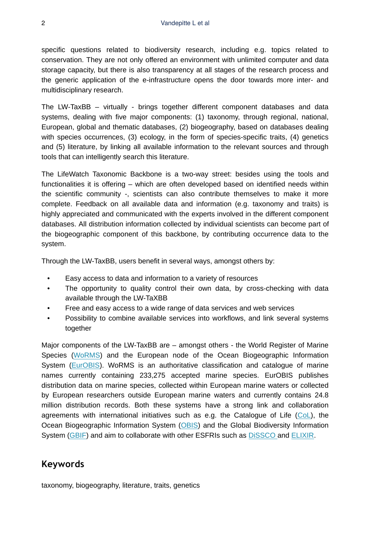specific questions related to biodiversity research, including e.g. topics related to conservation. They are not only offered an environment with unlimited computer and data storage capacity, but there is also transparency at all stages of the research process and the generic application of the e-infrastructure opens the door towards more inter- and multidisciplinary research.

The LW-TaxBB – virtually - brings together different component databases and data systems, dealing with five major components: (1) taxonomy, through regional, national, European, global and thematic databases, (2) biogeography, based on databases dealing with species occurrences, (3) ecology, in the form of species-specific traits, (4) genetics and (5) literature, by linking all available information to the relevant sources and through tools that can intelligently search this literature.

The LifeWatch Taxonomic Backbone is a two-way street: besides using the tools and functionalities it is offering – which are often developed based on identified needs within the scientific community -, scientists can also contribute themselves to make it more complete. Feedback on all available data and information (e.g. taxonomy and traits) is highly appreciated and communicated with the experts involved in the different component databases. All distribution information collected by individual scientists can become part of the biogeographic component of this backbone, by contributing occurrence data to the system.

Through the LW-TaxBB, users benefit in several ways, amongst others by:

- Easy access to data and information to a variety of resources
- The opportunity to quality control their own data, by cross-checking with data available through the LW-TaXBB
- Free and easy access to a wide range of data services and web services
- Possibility to combine available services into workflows, and link several systems together

Major components of the LW-TaxBB are – amongst others - the World Register of Marine Species [\(WoRMS](http://www.marinespecies.org)) and the European node of the Ocean Biogeographic Information System [\(EurOBIS\)](http://www.eurobis.org). WoRMS is an authoritative classification and catalogue of marine names currently containing 233,275 accepted marine species. EurOBIS publishes distribution data on marine species, collected within European marine waters or collected by European researchers outside European marine waters and currently contains 24.8 million distribution records. Both these systems have a strong link and collaboration agreements with international initiatives such as e.g. the Catalogue of Life  $(CoL)$  $(CoL)$ , the Ocean Biogeographic Information System ([OBIS](https://obis.org/)) and the Global Biodiversity Information System ([GBIF\)](https://www.gbif.org/) and aim to collaborate with other ESFRIs such as [DiSSCO a](https://dissco.eu/)nd [ELIXIR.](https://elixir-europe.org/)

#### **Keywords**

taxonomy, biogeography, literature, traits, genetics